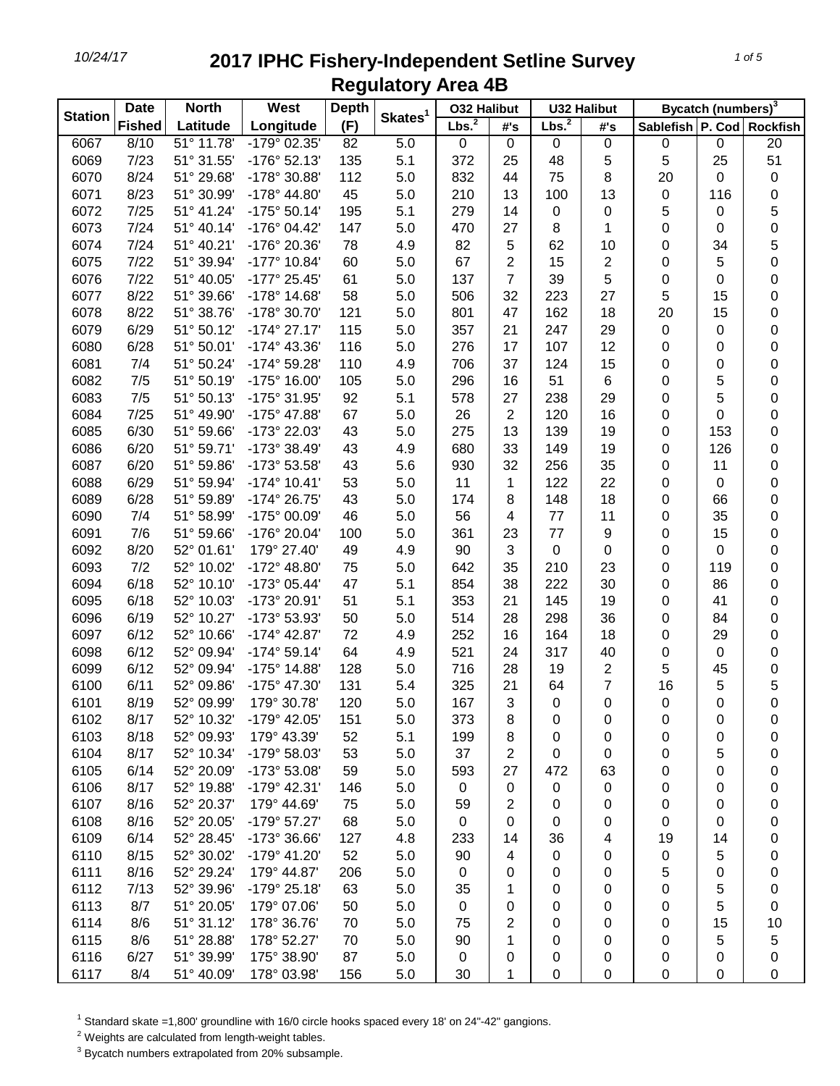| <b>Station</b> | <b>North</b><br><b>Date</b> |            | West                  | <b>Depth</b> |                     | <b>032 Halibut</b> |                | <b>U32 Halibut</b> |                  | Bycatch (numbers) <sup>3</sup> |     |                  |
|----------------|-----------------------------|------------|-----------------------|--------------|---------------------|--------------------|----------------|--------------------|------------------|--------------------------------|-----|------------------|
|                | <b>Fished</b>               | Latitude   | Longitude             | (F)          | Skates <sup>1</sup> | Lbs. <sup>2</sup>  | #'s            | Lbs. <sup>2</sup>  | #'s              | Sablefish P. Cod Rockfish      |     |                  |
| 6067           | 8/10                        | 51° 11.78' | $-179^{\circ}$ 02.35' | 82           | 5.0                 | 0                  | $\mathbf 0$    | 0                  | $\pmb{0}$        | 0                              | 0   | 20               |
| 6069           | 7/23                        | 51° 31.55' | $-176°52.13'$         | 135          | 5.1                 | 372                | 25             | 48                 | 5                | 5                              | 25  | 51               |
| 6070           | 8/24                        | 51° 29.68' | -178° 30.88'          | 112          | 5.0                 | 832                | 44             | 75                 | 8                | 20                             | 0   | 0                |
| 6071           | 8/23                        | 51° 30.99' | -178° 44.80'          | 45           | 5.0                 | 210                | 13             | 100                | 13               | 0                              | 116 | $\pmb{0}$        |
| 6072           | 7/25                        | 51° 41.24' | $-175°50.14'$         | 195          | 5.1                 | 279                | 14             | 0                  | 0                | 5                              | 0   | 5                |
| 6073           | 7/24                        | 51° 40.14' | -176° 04.42'          | 147          | 5.0                 | 470                | 27             | 8                  | 1                | 0                              | 0   | $\mathbf 0$      |
| 6074           | 7/24                        | 51° 40.21' | -176° 20.36'          | 78           | 4.9                 | 82                 | 5              | 62                 | 10               | 0                              | 34  | 5                |
| 6075           | 7/22                        | 51° 39.94' | -177° 10.84'          | 60           | 5.0                 | 67                 | $\overline{2}$ | 15                 | 2                | 0                              | 5   | $\mathbf 0$      |
| 6076           | 7/22                        | 51° 40.05' | -177° 25.45'          | 61           | 5.0                 | 137                | $\overline{7}$ | 39                 | 5                | 0                              | 0   | 0                |
| 6077           | 8/22                        | 51° 39.66' | -178° 14.68'          | 58           | 5.0                 | 506                | 32             | 223                | 27               | 5                              | 15  | $\boldsymbol{0}$ |
| 6078           | 8/22                        | 51° 38.76' | -178° 30.70'          | 121          | 5.0                 | 801                | 47             | 162                | 18               | 20                             | 15  | 0                |
| 6079           | 6/29                        | 51° 50.12' | $-174^{\circ}$ 27.17' | 115          | 5.0                 | 357                | 21             | 247                | 29               | 0                              | 0   | 0                |
| 6080           | 6/28                        | 51° 50.01' | $-174^{\circ}$ 43.36' | 116          | 5.0                 | 276                | 17             | 107                | 12               | 0                              | 0   | $\boldsymbol{0}$ |
| 6081           | 7/4                         | 51° 50.24' | -174° 59.28'          | 110          | 4.9                 | 706                | 37             | 124                | 15               | 0                              | 0   | 0                |
| 6082           | 7/5                         | 51° 50.19' | -175° 16.00'          | 105          | 5.0                 | 296                | 16             | 51                 | 6                | 0                              | 5   | 0                |
| 6083           | 7/5                         | 51° 50.13' | -175° 31.95'          | 92           | 5.1                 | 578                | 27             | 238                | 29               | 0                              | 5   | 0                |
| 6084           | 7/25                        | 51° 49.90' | -175° 47.88'          | 67           | 5.0                 | 26                 | $\overline{2}$ | 120                | 16               | 0                              | 0   | 0                |
| 6085           | 6/30                        | 51° 59.66' | -173° 22.03'          | 43           | 5.0                 | 275                | 13             | 139                | 19               | 0                              | 153 | 0                |
| 6086           | 6/20                        | 51° 59.71' | -173° 38.49'          | 43           | 4.9                 | 680                | 33             | 149                | 19               | 0                              | 126 | 0                |
| 6087           | 6/20                        | 51° 59.86' | -173° 53.58'          | 43           | 5.6                 | 930                | 32             | 256                | 35               | 0                              | 11  | 0                |
| 6088           | 6/29                        | 51° 59.94' | $-174^{\circ}$ 10.41' | 53           | 5.0                 | 11                 | 1              | 122                | 22               | 0                              | 0   | 0                |
| 6089           | 6/28                        | 51° 59.89' | -174° 26.75'          | 43           | 5.0                 | 174                | 8              | 148                | 18               | 0                              | 66  | 0                |
| 6090           | 7/4                         | 51° 58.99' | -175° 00.09'          | 46           | 5.0                 | 56                 | 4              | $77 \,$            | 11               | 0                              | 35  | 0                |
| 6091           | 7/6                         | 51° 59.66' | -176° 20.04'          | 100          | 5.0                 | 361                | 23             | 77                 | $\boldsymbol{9}$ | 0                              | 15  | 0                |
| 6092           | 8/20                        | 52° 01.61' | 179° 27.40'           | 49           | 4.9                 | 90                 | 3              | $\pmb{0}$          | $\pmb{0}$        | 0                              | 0   | 0                |
| 6093           | 7/2                         | 52° 10.02' | -172° 48.80'          | 75           | 5.0                 | 642                | 35             | 210                | 23               | 0                              | 119 | 0                |
| 6094           | 6/18                        | 52° 10.10' | -173° 05.44'          | 47           | 5.1                 | 854                | 38             | 222                | 30               | 0                              | 86  | 0                |
| 6095           | 6/18                        | 52° 10.03' | -173° 20.91'          | 51           | 5.1                 | 353                | 21             | 145                | 19               | 0                              | 41  | 0                |
| 6096           | 6/19                        | 52° 10.27' | -173° 53.93'          | 50           | 5.0                 | 514                | 28             | 298                | 36               | 0                              | 84  | 0                |
| 6097           | 6/12                        | 52° 10.66' | $-174^{\circ}$ 42.87' | 72           | 4.9                 | 252                | 16             | 164                | 18               | 0                              | 29  | 0                |
| 6098           | 6/12                        | 52° 09.94' | $-174^{\circ} 59.14'$ | 64           | 4.9                 | 521                | 24             | 317                | 40               | 0                              | 0   | 0                |
| 6099           | 6/12                        | 52° 09.94' | -175° 14.88'          | 128          | 5.0                 | 716                | 28             | 19                 | $\overline{2}$   | 5                              | 45  | $\pmb{0}$        |
| 6100           | 6/11                        | 52° 09.86' | -175° 47.30'          | 131          | 5.4                 | 325                | 21             | 64                 | 7                | 16                             | 5   | 5                |
| 6101           | 8/19                        | 52° 09.99' | 179° 30.78'           | 120          | 5.0                 | 167                | 3              | $\pmb{0}$          | 0                | 0                              | 0   | $\mathbf 0$      |
| 6102           | 8/17                        | 52° 10.32' | -179° 42.05'          | 151          | 5.0                 | 373                | 8              | 0                  | 0                | 0                              | 0   | 0                |
| 6103           | 8/18                        | 52° 09.93' | 179° 43.39'           | 52           | 5.1                 | 199                | 8              | 0                  | 0                | 0                              | 0   | 0                |
| 6104           | 8/17                        | 52° 10.34' | -179° 58.03'          | 53           | 5.0                 | 37                 | 2              | 0                  | 0                | 0                              | 5   | 0                |
| 6105           | 6/14                        | 52° 20.09' | -173° 53.08'          | 59           | 5.0                 | 593                | 27             | 472                | 63               | 0                              | 0   | 0                |
| 6106           | 8/17                        | 52° 19.88' | $-179°$ 42.31'        | 146          | 5.0                 | 0                  | 0              | $\pmb{0}$          | $\pmb{0}$        | 0                              | 0   | 0                |
| 6107           | 8/16                        | 52° 20.37' | 179° 44.69'           | 75           | 5.0                 | 59                 | 2              | 0                  | 0                | 0                              | 0   | 0                |
| 6108           | 8/16                        | 52° 20.05' | -179° 57.27'          | 68           | 5.0                 | $\mathbf 0$        | 0              | $\pmb{0}$          | 0                | 0                              | 0   | 0                |
| 6109           | 6/14                        | 52° 28.45' | -173° 36.66'          | 127          | 4.8                 | 233                | 14             | 36                 | 4                | 19                             | 14  | 0                |
| 6110           | 8/15                        | 52° 30.02' | -179° 41.20'          | 52           | 5.0                 | 90                 | 4              | 0                  | 0                | 0                              | 5   | 0                |
| 6111           | 8/16                        | 52° 29.24' | 179° 44.87'           | 206          | 5.0                 | 0                  | 0              | 0                  | 0                | 5                              | 0   | 0                |
| 6112           | 7/13                        | 52° 39.96' | -179° 25.18'          | 63           | 5.0                 | 35                 | 1              | 0                  | 0                | 0                              | 5   | 0                |
| 6113           | 8/7                         | 51° 20.05' | 179° 07.06'           | 50           | 5.0                 | 0                  | 0              | 0                  | 0                | 0                              | 5   | 0                |
| 6114           | 8/6                         | 51° 31.12' | 178° 36.76'           | 70           | 5.0                 | 75                 | 2              | 0                  | 0                | 0                              | 15  | 10               |
| 6115           | 8/6                         | 51° 28.88' | 178° 52.27'           | 70           | 5.0                 | 90                 | 1              | 0                  | 0                | 0                              | 5   | 5                |
| 6116           | 6/27                        | 51° 39.99' | 175° 38.90'           | 87           | 5.0                 | 0                  | 0              | 0                  | 0                | 0                              | 0   | 0                |
| 6117           | 8/4                         | 51° 40.09' | 178° 03.98'           | 156          | 5.0                 | 30                 | 1              | $\pmb{0}$          | 0                | 0                              | 0   | 0                |

<sup>1</sup> Standard skate =1,800' groundline with 16/0 circle hooks spaced every 18' on 24"-42" gangions.

Weights are calculated from length-weight tables.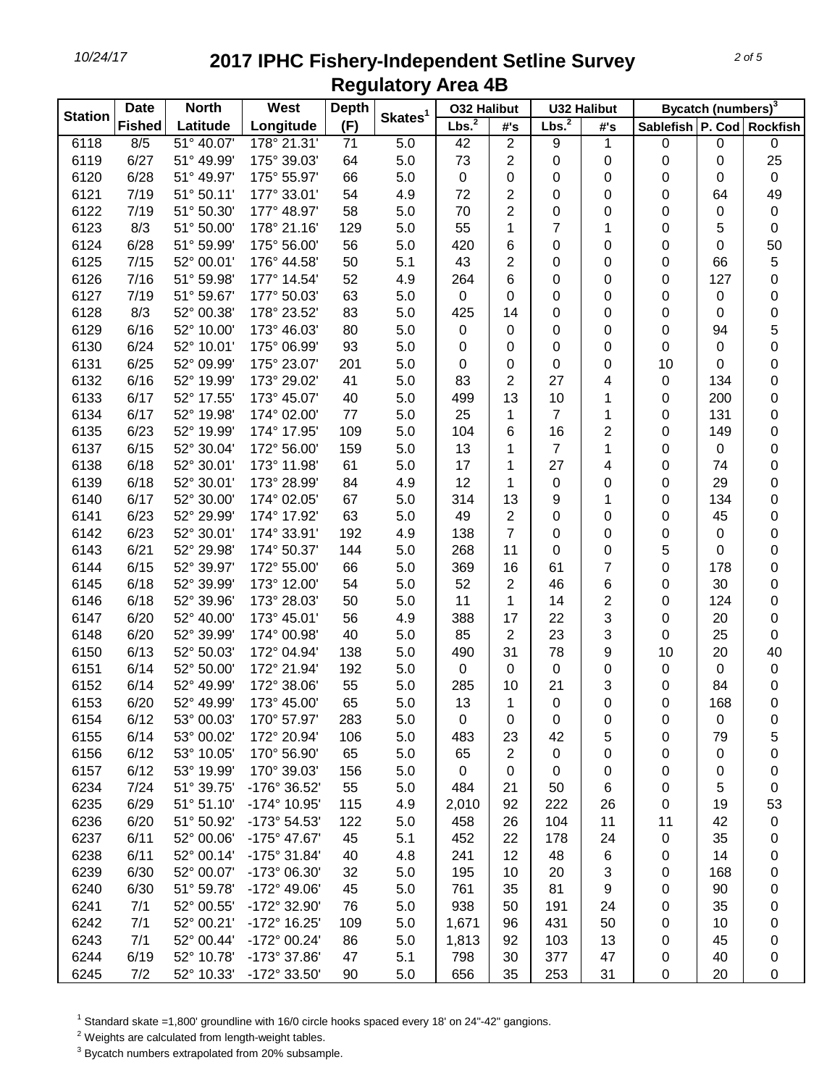| <b>Station</b> | <b>Date</b><br><b>North</b> |            | West         | <b>Depth</b> |                     | <b>032 Halibut</b> |                | <b>U32 Halibut</b> |     | Bycatch (numbers) <sup>3</sup> |     |                  |
|----------------|-----------------------------|------------|--------------|--------------|---------------------|--------------------|----------------|--------------------|-----|--------------------------------|-----|------------------|
|                | <b>Fished</b>               | Latitude   | Longitude    | (F)          | Skates <sup>1</sup> | Lbs. <sup>2</sup>  | #'s            | Lbs. <sup>2</sup>  | #'s | Sablefish P. Cod Rockfish      |     |                  |
| 6118           | 8/5                         | 51° 40.07' | 178° 21.31'  | 71           | 5.0                 | 42                 | $\overline{2}$ | 9                  | 1   | 0                              | 0   | $\pmb{0}$        |
| 6119           | 6/27                        | 51° 49.99' | 175° 39.03'  | 64           | 5.0                 | 73                 | $\overline{2}$ | 0                  | 0   | 0                              | 0   | 25               |
| 6120           | 6/28                        | 51° 49.97' | 175° 55.97'  | 66           | 5.0                 | 0                  | 0              | 0                  | 0   | 0                              | 0   | $\pmb{0}$        |
| 6121           | 7/19                        | 51° 50.11' | 177° 33.01'  | 54           | 4.9                 | 72                 | $\overline{2}$ | 0                  | 0   | 0                              | 64  | 49               |
| 6122           | 7/19                        | 51° 50.30' | 177° 48.97'  | 58           | 5.0                 | 70                 | $\overline{2}$ | 0                  | 0   | 0                              | 0   | $\pmb{0}$        |
| 6123           | 8/3                         | 51° 50.00' | 178° 21.16'  | 129          | 5.0                 | 55                 | 1              | 7                  | 1   | 0                              | 5   | 0                |
| 6124           | 6/28                        | 51° 59.99' | 175° 56.00'  | 56           | 5.0                 | 420                | 6              | 0                  | 0   | 0                              | 0   | 50               |
| 6125           | 7/15                        | 52° 00.01' | 176° 44.58'  | 50           | 5.1                 | 43                 | $\overline{2}$ | 0                  | 0   | 0                              | 66  | 5                |
| 6126           | 7/16                        | 51° 59.98' | 177° 14.54'  | 52           | 4.9                 | 264                | 6              | 0                  | 0   | 0                              | 127 | $\mathbf 0$      |
| 6127           | 7/19                        | 51° 59.67' | 177° 50.03'  | 63           | 5.0                 | 0                  | 0              | 0                  | 0   | 0                              | 0   | $\boldsymbol{0}$ |
| 6128           | 8/3                         | 52° 00.38' | 178° 23.52'  | 83           | 5.0                 | 425                | 14             | 0                  | 0   | 0                              | 0   | 0                |
| 6129           | 6/16                        | 52° 10.00' | 173° 46.03'  | 80           | 5.0                 | 0                  | 0              | 0                  | 0   | 0                              | 94  | $\mathbf 5$      |
| 6130           | 6/24                        | 52° 10.01' | 175° 06.99'  | 93           | 5.0                 | 0                  | 0              | 0                  | 0   | 0                              | 0   | $\mathbf 0$      |
| 6131           | 6/25                        | 52° 09.99' | 175° 23.07'  | 201          | 5.0                 | 0                  | 0              | 0                  | 0   | 10                             | 0   | 0                |
| 6132           | 6/16                        | 52° 19.99' | 173° 29.02'  | 41           | 5.0                 | 83                 | $\overline{2}$ | 27                 | 4   | 0                              | 134 | 0                |
| 6133           | 6/17                        | 52° 17.55' | 173° 45.07'  | 40           | 5.0                 | 499                | 13             | 10                 | 1   | 0                              | 200 | 0                |
| 6134           | 6/17                        | 52° 19.98' | 174° 02.00'  | 77           | 5.0                 | 25                 | 1              | $\overline{7}$     | 1   | 0                              | 131 | 0                |
| 6135           | 6/23                        | 52° 19.99' | 174° 17.95'  | 109          | 5.0                 | 104                | 6              | 16                 | 2   | 0                              | 149 | 0                |
| 6137           | 6/15                        | 52° 30.04' | 172° 56.00'  | 159          | 5.0                 | 13                 | 1              | $\overline{7}$     | 1   | 0                              | 0   | 0                |
| 6138           | 6/18                        | 52° 30.01' | 173° 11.98'  | 61           | 5.0                 | 17                 | 1              | 27                 | 4   | 0                              | 74  | 0                |
| 6139           | 6/18                        | 52° 30.01' | 173° 28.99'  | 84           | 4.9                 | 12                 | 1              | 0                  | 0   | 0                              | 29  | 0                |
| 6140           | 6/17                        | 52° 30.00' | 174° 02.05'  | 67           | 5.0                 | 314                | 13             | 9                  | 1   | 0                              | 134 | 0                |
| 6141           | 6/23                        | 52° 29.99' | 174° 17.92'  | 63           | 5.0                 | 49                 | 2              | 0                  | 0   | 0                              | 45  | 0                |
| 6142           | 6/23                        | 52° 30.01' | 174° 33.91'  | 192          | 4.9                 | 138                | $\overline{7}$ | 0                  | 0   | 0                              | 0   | 0                |
| 6143           | 6/21                        | 52° 29.98' | 174° 50.37'  | 144          | 5.0                 | 268                | 11             | 0                  | 0   | 5                              | 0   | 0                |
| 6144           | 6/15                        | 52° 39.97' | 172° 55.00'  | 66           | 5.0                 | 369                | 16             | 61                 | 7   | 0                              | 178 | 0                |
| 6145           | 6/18                        | 52° 39.99' | 173° 12.00'  | 54           | 5.0                 | 52                 | $\overline{2}$ | 46                 | 6   | 0                              | 30  | 0                |
| 6146           | 6/18                        | 52° 39.96' | 173° 28.03'  | 50           | 5.0                 | 11                 | 1              | 14                 | 2   | 0                              | 124 | 0                |
| 6147           | 6/20                        | 52° 40.00' | 173° 45.01'  | 56           | 4.9                 | 388                | 17             | 22                 | 3   | 0                              | 20  | 0                |
| 6148           | 6/20                        | 52° 39.99' | 174° 00.98'  | 40           | 5.0                 | 85                 | $\overline{2}$ | 23                 | 3   | 0                              | 25  | 0                |
| 6150           | 6/13                        | 52° 50.03' | 172° 04.94'  | 138          | 5.0                 | 490                | 31             | 78                 | 9   | 10                             | 20  | 40               |
| 6151           | 6/14                        | 52° 50.00' | 172° 21.94'  | 192          | 5.0                 | 0                  | 0              | 0                  | 0   | 0                              | 0   | $\pmb{0}$        |
| 6152           | 6/14                        | 52° 49.99' | 172° 38.06'  | 55           | 5.0                 | 285                | 10             | 21                 | 3   | 0                              | 84  | 0                |
| 6153           | 6/20                        | 52° 49.99' | 173° 45.00'  | 65           | 5.0                 | 13                 | 1              | 0                  | 0   | 0                              | 168 | $\mathbf 0$      |
| 6154           | 6/12                        | 53° 00.03' | 170° 57.97'  | 283          | 5.0                 | 0                  | 0              | 0                  | 0   | 0                              | 0   | 0                |
| 6155           | 6/14                        | 53° 00.02' | 172° 20.94'  | 106          | 5.0                 | 483                | 23             | 42                 | 5   | 0                              | 79  | 5                |
| 6156           | 6/12                        | 53° 10.05' | 170° 56.90'  | 65           | 5.0                 | 65                 | $\overline{2}$ | 0                  | 0   | 0                              | 0   | 0                |
| 6157           | 6/12                        | 53° 19.99' | 170° 39.03'  | 156          | 5.0                 | $\pmb{0}$          | 0              | 0                  | 0   | 0                              | 0   | 0                |
| 6234           | 7/24                        | 51° 39.75' | -176° 36.52' | 55           | 5.0                 | 484                | 21             | 50                 | 6   | 0                              | 5   | 0                |
| 6235           | 6/29                        | 51° 51.10' | -174° 10.95' | 115          | 4.9                 | 2,010              | 92             | 222                | 26  | 0                              | 19  | 53               |
| 6236           | 6/20                        | 51° 50.92' | -173° 54.53' | 122          | 5.0                 | 458                | 26             | 104                | 11  | 11                             | 42  | $\pmb{0}$        |
| 6237           | 6/11                        | 52° 00.06' | -175° 47.67' | 45           | 5.1                 | 452                | 22             | 178                | 24  | 0                              | 35  | 0                |
| 6238           | 6/11                        | 52° 00.14' | -175° 31.84' | 40           | 4.8                 | 241                | 12             | 48                 | 6   | 0                              | 14  | 0                |
| 6239           | 6/30                        | 52° 00.07' | -173° 06.30' | 32           | 5.0                 | 195                | 10             | 20                 | 3   | 0                              | 168 | 0                |
| 6240           | 6/30                        | 51° 59.78' | -172° 49.06' | 45           | 5.0                 | 761                | 35             | 81                 | 9   | 0                              | 90  | 0                |
| 6241           | 7/1                         | 52° 00.55' | -172° 32.90' | 76           | 5.0                 | 938                | 50             | 191                | 24  | 0                              | 35  | 0                |
| 6242           | 7/1                         | 52° 00.21' | -172° 16.25' | 109          | 5.0                 | 1,671              | 96             | 431                | 50  | 0                              | 10  | 0                |
| 6243           | 7/1                         | 52° 00.44' | -172° 00.24' | 86           | 5.0                 | 1,813              | 92             | 103                | 13  | 0                              | 45  | 0                |
| 6244           | 6/19                        | 52° 10.78' | -173° 37.86' | 47           | 5.1                 | 798                | 30             | 377                | 47  | 0                              | 40  | 0                |
| 6245           | 7/2                         | 52° 10.33' | -172° 33.50' | 90           | 5.0                 | 656                | 35             | 253                | 31  | 0                              | 20  | 0                |

<sup>1</sup> Standard skate =1,800' groundline with 16/0 circle hooks spaced every 18' on 24"-42" gangions.

Weights are calculated from length-weight tables.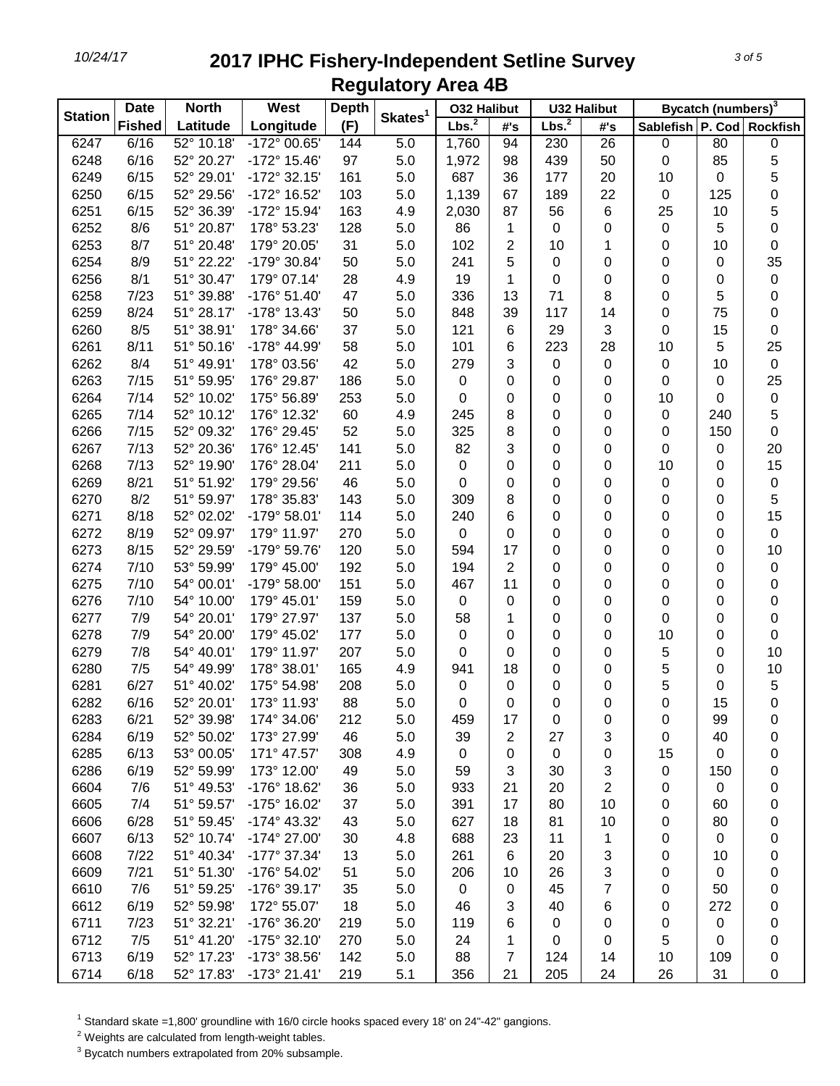| <b>Station</b> | <b>Date</b>   | <b>North</b> | <b>West</b>           | <b>Depth</b> |                     | <b>032 Halibut</b> |                | <b>U32 Halibut</b> |                | Bycatch (numbers) <sup>3</sup> |             |                  |
|----------------|---------------|--------------|-----------------------|--------------|---------------------|--------------------|----------------|--------------------|----------------|--------------------------------|-------------|------------------|
|                | <b>Fished</b> | Latitude     | Longitude             | (F)          | Skates <sup>1</sup> | Lbs. <sup>2</sup>  | #'s            | Lbs. <sup>2</sup>  | #'s            | Sablefish P. Cod Rockfish      |             |                  |
| 6247           | 6/16          | 52° 10.18'   | -172° 00.65'          | 144          | 5.0                 | 1,760              | 94             | 230                | 26             | $\pmb{0}$                      | 80          | $\boldsymbol{0}$ |
| 6248           | 6/16          | 52° 20.27'   | -172° 15.46'          | 97           | 5.0                 | 1,972              | 98             | 439                | 50             | 0                              | 85          | 5                |
| 6249           | 6/15          | 52° 29.01'   | -172° 32.15'          | 161          | 5.0                 | 687                | 36             | 177                | 20             | 10                             | 0           | 5                |
| 6250           | 6/15          | 52° 29.56'   | -172° 16.52'          | 103          | 5.0                 | 1,139              | 67             | 189                | 22             | $\pmb{0}$                      | 125         | 0                |
| 6251           | 6/15          | 52° 36.39'   | -172° 15.94'          | 163          | 4.9                 | 2,030              | 87             | 56                 | 6              | 25                             | 10          | 5                |
| 6252           | 8/6           | 51° 20.87'   | 178° 53.23'           | 128          | 5.0                 | 86                 | 1              | 0                  | 0              | $\pmb{0}$                      | 5           | 0                |
| 6253           | 8/7           | 51° 20.48'   | 179° 20.05'           | 31           | 5.0                 | 102                | $\overline{2}$ | 10                 | 1              | 0                              | 10          | 0                |
| 6254           | 8/9           | 51° 22.22'   | -179° 30.84'          | 50           | 5.0                 | 241                | 5              | $\mathbf 0$        | $\pmb{0}$      | 0                              | 0           | 35               |
| 6256           | 8/1           | 51° 30.47'   | 179° 07.14'           | 28           | 4.9                 | 19                 | 1              | $\mathbf 0$        | $\pmb{0}$      | 0                              | 0           | $\pmb{0}$        |
| 6258           | 7/23          | 51° 39.88'   | $-176°51.40'$         | 47           | 5.0                 | 336                | 13             | 71                 | 8              | 0                              | 5           | 0                |
| 6259           | 8/24          | 51° 28.17'   | -178° 13.43'          | 50           | 5.0                 | 848                | 39             | 117                | 14             | 0                              | 75          | 0                |
| 6260           | 8/5           | 51° 38.91'   | 178° 34.66'           | 37           | 5.0                 | 121                | 6              | 29                 | 3              | 0                              | 15          | 0                |
| 6261           | 8/11          | 51° 50.16'   | -178° 44.99'          | 58           | 5.0                 | 101                | 6              | 223                | 28             | 10                             | 5           | 25               |
| 6262           | 8/4           | 51° 49.91'   | 178° 03.56'           | 42           | 5.0                 | 279                | 3              | 0                  | 0              | 0                              | 10          | $\boldsymbol{0}$ |
| 6263           | 7/15          | 51° 59.95'   | 176° 29.87'           | 186          | 5.0                 | $\pmb{0}$          | 0              | 0                  | 0              | 0                              | 0           | 25               |
| 6264           | 7/14          | 52° 10.02'   | 175° 56.89'           | 253          | 5.0                 | 0                  | 0              | 0                  | 0              | 10                             | 0           | $\pmb{0}$        |
| 6265           | 7/14          | 52° 10.12'   | 176° 12.32'           | 60           | 4.9                 | 245                | 8              | 0                  | 0              | 0                              | 240         | 5                |
| 6266           | 7/15          | 52° 09.32'   | 176° 29.45'           | 52           | 5.0                 | 325                | 8              | 0                  | 0              | 0                              | 150         | 0                |
| 6267           | 7/13          | 52° 20.36'   | 176° 12.45'           | 141          | 5.0                 | 82                 | 3              | 0                  | 0              | 0                              | 0           | 20               |
| 6268           | 7/13          | 52° 19.90'   | 176° 28.04'           | 211          | 5.0                 | 0                  | 0              | 0                  | 0              | 10                             | 0           | 15               |
| 6269           | 8/21          | 51° 51.92'   | 179° 29.56'           | 46           | 5.0                 | 0                  | 0              | 0                  | 0              | 0                              | 0           | $\pmb{0}$        |
| 6270           | 8/2           | 51° 59.97'   | 178° 35.83'           | 143          | 5.0                 | 309                | 8              | 0                  | 0              | 0                              | 0           | 5                |
| 6271           | 8/18          | 52° 02.02'   | -179° 58.01'          | 114          | 5.0                 | 240                | 6              | 0                  | 0              | 0                              | 0           | 15               |
| 6272           | 8/19          | 52° 09.97'   | 179° 11.97'           | 270          | 5.0                 | $\,0\,$            | 0              | 0                  | $\pmb{0}$      | 0                              | 0           | $\boldsymbol{0}$ |
| 6273           | 8/15          | 52° 29.59'   | -179° 59.76'          | 120          | 5.0                 | 594                | 17             | 0                  | $\pmb{0}$      | 0                              | 0           | 10               |
| 6274           | 7/10          | 53° 59.99'   | 179° 45.00'           | 192          | 5.0                 | 194                | $\overline{2}$ | 0                  | 0              | 0                              | 0           | $\pmb{0}$        |
| 6275           | 7/10          | 54° 00.01'   | -179° 58.00'          | 151          | 5.0                 | 467                | 11             | 0                  | 0              | 0                              | 0           | 0                |
| 6276           | 7/10          | 54° 10.00'   | 179° 45.01'           | 159          | 5.0                 | 0                  | 0              | 0                  | 0              | 0                              | 0           | 0                |
| 6277           | 7/9           | 54° 20.01'   | 179° 27.97'           | 137          | 5.0                 | 58                 | 1              | 0                  | 0              | 0                              | 0           | 0                |
| 6278           | 7/9           | 54° 20.00'   | 179° 45.02'           | 177          | 5.0                 | 0                  | 0              | 0                  | 0              | 10                             | 0           | 0                |
| 6279           | 7/8           | 54° 40.01'   | 179° 11.97'           | 207          | 5.0                 | 0                  | 0              | 0                  | 0              | 5                              | 0           | 10               |
| 6280           | 7/5           | 54° 49.99'   | 178° 38.01'           | 165          | 4.9                 | 941                | 18             | 0                  | 0              | 5                              | 0           | 10               |
| 6281           | 6/27          | 51° 40.02'   | 175° 54.98'           | 208          | 5.0                 | $\pmb{0}$          | 0              | 0                  | 0              | 5                              | 0           | 5                |
| 6282           | 6/16          | 52° 20.01'   | 173° 11.93'           | 88           | 5.0                 | 0                  | 0              | 0                  | 0              | 0                              | 15          | 0                |
| 6283           | 6/21          | 52° 39.98'   | 174° 34.06'           | 212          | 5.0                 | 459                | 17             | 0                  | 0              | 0                              | 99          | 0                |
| 6284           | 6/19          | 52° 50.02'   | 173° 27.99'           | 46           | 5.0                 | 39                 | 2              | 27                 | 3              | 0                              | 40          | 0                |
| 6285           | 6/13          | 53° 00.05'   | 171° 47.57'           | 308          | 4.9                 | 0                  | 0              | $\mathbf 0$        | 0              | 15                             | $\pmb{0}$   | 0                |
| 6286           | 6/19          | 52° 59.99'   | 173° 12.00'           | 49           | 5.0                 | 59                 | 3              | 30                 | 3              | 0                              | 150         | 0                |
| 6604           | 7/6           | 51° 49.53'   | -176° 18.62'          | 36           | 5.0                 | 933                | 21             | 20                 | $\overline{2}$ | 0                              | $\mathbf 0$ | 0                |
| 6605           | 7/4           | 51° 59.57'   | -175° 16.02'          | 37           | 5.0                 | 391                | 17             | 80                 | 10             | 0                              | 60          | 0                |
| 6606           | 6/28          | 51° 59.45'   | $-174^{\circ}$ 43.32' | 43           | 5.0                 | 627                | 18             | 81                 | 10             | 0                              | 80          | 0                |
| 6607           | 6/13          | 52° 10.74'   | -174° 27.00'          | 30           | 4.8                 | 688                | 23             | 11                 | 1              | 0                              | 0           | 0                |
| 6608           | 7/22          | 51° 40.34'   | -177° 37.34'          | 13           | 5.0                 | 261                | 6              | 20                 | 3              | 0                              | 10          | 0                |
| 6609           | 7/21          | 51° 51.30'   | -176° 54.02'          | 51           | 5.0                 | 206                | 10             | 26                 | 3              | 0                              | 0           | 0                |
| 6610           | 7/6           | 51° 59.25'   | -176° 39.17'          | 35           | 5.0                 | 0                  | 0              | 45                 | 7              | 0                              | 50          | 0                |
| 6612           | 6/19          | 52° 59.98'   | 172° 55.07'           | 18           | 5.0                 | 46                 | 3              | 40                 | 6              | 0                              | 272         | 0                |
| 6711           | 7/23          | 51° 32.21'   | -176° 36.20'          | 219          | 5.0                 | 119                | 6              | 0                  | 0              | 0                              | 0           | 0                |
| 6712           | 7/5           | 51° 41.20'   | -175° 32.10'          | 270          | 5.0                 | 24                 | 1              | 0                  | 0              | 5                              | 0           | 0                |
| 6713           | 6/19          | 52° 17.23'   | -173° 38.56'          | 142          | 5.0                 | 88                 | 7              | 124                | 14             | 10                             | 109         | 0                |
| 6714           | 6/18          | 52° 17.83'   | $-173°$ 21.41'        | 219          | 5.1                 | 356                | 21             | 205                | 24             | 26                             | 31          | 0                |

<sup>1</sup> Standard skate =1,800' groundline with 16/0 circle hooks spaced every 18' on 24"-42" gangions.

Weights are calculated from length-weight tables.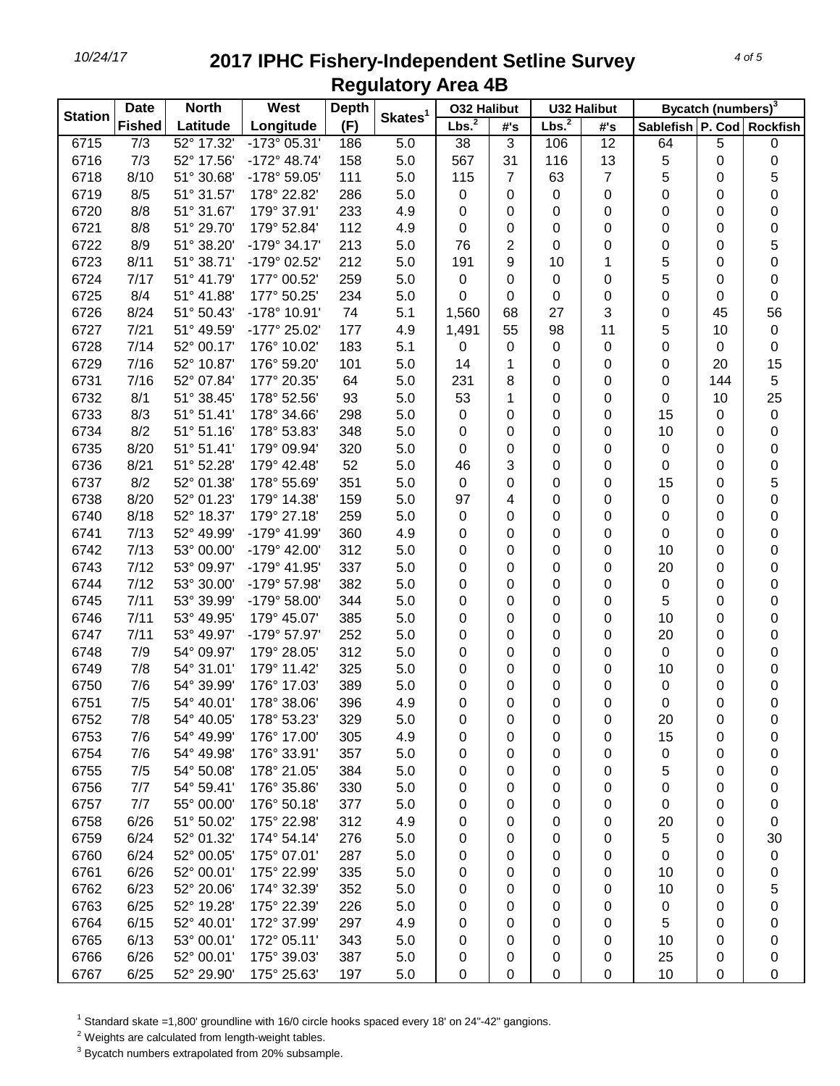| <b>Station</b> | <b>Date</b><br><b>North</b> |            | <b>West</b>           | <b>Depth</b> | Skates <sup>1</sup> | <b>032 Halibut</b> |                | <b>U32 Halibut</b> |                  | Bycatch (numbers) <sup>3</sup> |     |                  |
|----------------|-----------------------------|------------|-----------------------|--------------|---------------------|--------------------|----------------|--------------------|------------------|--------------------------------|-----|------------------|
|                | <b>Fished</b>               | Latitude   | Longitude             | (F)          |                     | Lbs. <sup>2</sup>  | #'s            | Lbs. <sup>2</sup>  | #'s              | Sablefish P. Cod Rockfish      |     |                  |
| 6715           | 7/3                         | 52° 17.32' | $-173^{\circ}$ 05.31' | 186          | 5.0                 | 38                 | 3              | 106                | 12               | 64                             | 5   | 0                |
| 6716           | 7/3                         | 52° 17.56' | $-172^{\circ}$ 48.74' | 158          | 5.0                 | 567                | 31             | 116                | 13               | 5                              | 0   | 0                |
| 6718           | 8/10                        | 51° 30.68' | -178° 59.05'          | 111          | 5.0                 | 115                | 7              | 63                 | 7                | 5                              | 0   | 5                |
| 6719           | 8/5                         | 51° 31.57' | 178° 22.82'           | 286          | 5.0                 | 0                  | 0              | 0                  | 0                | 0                              | 0   | $\boldsymbol{0}$ |
| 6720           | 8/8                         | 51° 31.67' | 179° 37.91'           | 233          | 4.9                 | 0                  | 0              | 0                  | 0                | 0                              | 0   | 0                |
| 6721           | 8/8                         | 51° 29.70' | 179° 52.84'           | 112          | 4.9                 | 0                  | 0              | 0                  | 0                | 0                              | 0   | $\mathbf 0$      |
| 6722           | 8/9                         | 51° 38.20' | $-179°34.17'$         | 213          | 5.0                 | 76                 | $\overline{2}$ | 0                  | 0                | 0                              | 0   | 5                |
| 6723           | 8/11                        | 51° 38.71' | -179° 02.52'          | 212          | 5.0                 | 191                | 9              | 10                 | 1                | 5                              | 0   | $\mathbf 0$      |
| 6724           | 7/17                        | 51° 41.79' | 177° 00.52'           | 259          | 5.0                 | 0                  | 0              | 0                  | 0                | 5                              | 0   | 0                |
| 6725           | 8/4                         | 51° 41.88' | 177° 50.25'           | 234          | 5.0                 | 0                  | 0              | 0                  | $\boldsymbol{0}$ | 0                              | 0   | 0                |
| 6726           | 8/24                        | 51° 50.43' | -178° 10.91'          | 74           | 5.1                 | 1,560              | 68             | 27                 | 3                | 0                              | 45  | 56               |
| 6727           | 7/21                        | 51° 49.59' | -177° 25.02'          | 177          | 4.9                 | 1,491              | 55             | 98                 | 11               | 5                              | 10  | $\pmb{0}$        |
| 6728           | 7/14                        | 52° 00.17' | 176° 10.02'           | 183          | 5.1                 | 0                  | 0              | 0                  | $\mathbf 0$      | 0                              | 0   | 0                |
| 6729           | 7/16                        | 52° 10.87' | 176° 59.20'           | 101          | 5.0                 | 14                 | 1              | 0                  | 0                | 0                              | 20  | 15               |
| 6731           | 7/16                        | 52° 07.84' | 177° 20.35'           | 64           | 5.0                 | 231                | 8              | 0                  | 0                | 0                              | 144 | $\mathbf 5$      |
| 6732           | 8/1                         | 51° 38.45' | 178° 52.56'           | 93           | 5.0                 | 53                 | 1              | 0                  | 0                | 0                              | 10  | 25               |
| 6733           | 8/3                         | 51° 51.41' | 178° 34.66'           | 298          | 5.0                 | 0                  | 0              | 0                  | 0                | 15                             | 0   | $\pmb{0}$        |
| 6734           | 8/2                         | 51° 51.16' | 178° 53.83'           | 348          | 5.0                 | 0                  | 0              | 0                  | 0                | 10                             | 0   | 0                |
| 6735           | 8/20                        | 51° 51.41' | 179° 09.94'           | 320          | 5.0                 | 0                  | 0              | 0                  | 0                | 0                              | 0   | 0                |
| 6736           | 8/21                        | 51° 52.28' | 179° 42.48'           | 52           | 5.0                 | 46                 | 3              | 0                  | 0                | 0                              | 0   | 0                |
| 6737           | 8/2                         | 52° 01.38' | 178° 55.69'           | 351          | 5.0                 | 0                  | 0              | 0                  | 0                | 15                             | 0   | 5                |
| 6738           | 8/20                        | 52° 01.23' | 179° 14.38'           | 159          | 5.0                 | 97                 | 4              | 0                  | 0                | 0                              | 0   | 0                |
| 6740           | 8/18                        | 52° 18.37' | 179° 27.18'           | 259          | 5.0                 | 0                  | 0              | 0                  | 0                | 0                              | 0   | 0                |
| 6741           | 7/13                        | 52° 49.99' | -179° 41.99'          | 360          | 4.9                 | 0                  | 0              | 0                  | 0                | 0                              | 0   | 0                |
| 6742           | 7/13                        | 53° 00.00' | -179° 42.00'          | 312          | 5.0                 | 0                  | 0              | 0                  | 0                | 10                             | 0   | 0                |
| 6743           | 7/12                        | 53° 09.97' | -179° 41.95'          | 337          | 5.0                 | 0                  | 0              | 0                  | 0                | 20                             | 0   | 0                |
| 6744           | 7/12                        | 53° 30.00' | -179° 57.98'          | 382          | 5.0                 | 0                  | 0              | 0                  | 0                | 0                              | 0   | 0                |
| 6745           | 7/11                        | 53° 39.99' | -179° 58.00'          | 344          | 5.0                 | 0                  | 0              | 0                  | 0                | 5                              | 0   | 0                |
| 6746           | 7/11                        | 53° 49.95' | 179° 45.07'           | 385          | 5.0                 | 0                  | 0              | 0                  | 0                | 10                             | 0   | 0                |
| 6747           | 7/11                        | 53° 49.97' | -179° 57.97'          | 252          | 5.0                 | 0                  | 0              | 0                  | 0                | 20                             | 0   | 0                |
| 6748           | 7/9                         | 54° 09.97' | 179° 28.05'           | 312          | 5.0                 | 0                  | 0              | 0                  | 0                | 0                              | 0   | 0                |
| 6749           | 7/8                         | 54° 31.01' | 179° 11.42'           | 325          | 5.0                 | 0                  | 0              | 0                  | 0                | 10                             | 0   | 0                |
| 6750           | 7/6                         | 54° 39.99' | 176° 17.03'           | 389          | 5.0                 | 0                  | 0              | 0                  | 0                | 0                              | 0   | 0                |
| 6751           | 7/5                         | 54° 40.01' | 178° 38.06'           | 396          | 4.9                 | 0                  | 0              | 0                  | 0                | 0                              | 0   | $\mathbf 0$      |
| 6752           | 7/8                         | 54° 40.05' | 178° 53.23'           | 329          | 5.0                 | 0                  | 0              | 0                  | 0                | 20                             | 0   | 0                |
| 6753           | 7/6                         | 54° 49.99' | 176° 17.00'           | 305          | 4.9                 | 0                  | 0              | 0                  | 0                | 15                             | 0   | 0                |
| 6754           | 7/6                         | 54° 49.98' | 176° 33.91'           | 357          | 5.0                 | 0                  | 0              | 0                  | 0                | 0                              | 0   | 0                |
| 6755           | 7/5                         | 54° 50.08' | 178° 21.05'           | 384          | 5.0                 | 0                  | 0              | 0                  | 0                | 5                              | 0   | 0                |
| 6756           | 7/7                         | 54° 59.41' | 176° 35.86'           | 330          | 5.0                 | 0                  | 0              | 0                  | 0                | 0                              | 0   | 0                |
| 6757           | 7/7                         | 55° 00.00' | 176° 50.18'           | 377          | 5.0                 | 0                  | 0              | 0                  | 0                | 0                              | 0   | 0                |
| 6758           | 6/26                        | 51° 50.02' | 175° 22.98'           | 312          | 4.9                 | 0                  | 0              | 0                  | 0                | 20                             | 0   | 0                |
| 6759           | 6/24                        | 52° 01.32' | 174° 54.14'           | 276          | 5.0                 | 0                  | 0              | 0                  | 0                | 5                              | 0   | 30               |
| 6760           | 6/24                        | 52° 00.05' | 175° 07.01'           | 287          | 5.0                 | 0                  | 0              | 0                  | 0                | 0                              | 0   | $\pmb{0}$        |
| 6761           | 6/26                        | 52° 00.01' | 175° 22.99'           | 335          | 5.0                 | 0                  | 0              | 0                  | 0                | 10                             | 0   | 0                |
| 6762           | 6/23                        | 52° 20.06' | 174° 32.39'           | 352          | 5.0                 | 0                  | 0              | 0                  | 0                | 10                             | 0   | 5                |
| 6763           | 6/25                        | 52° 19.28' | 175° 22.39'           | 226          | 5.0                 | 0                  | 0              | 0                  | 0                | 0                              | 0   | 0                |
| 6764           | 6/15                        | 52° 40.01' | 172° 37.99'           | 297          | 4.9                 | 0                  | 0              | 0                  | 0                | 5                              | 0   | 0                |
| 6765           | 6/13                        | 53° 00.01' | 172° 05.11'           | 343          | 5.0                 | 0                  | 0              | 0                  | 0                | 10                             | 0   | 0                |
| 6766           | 6/26                        | 52° 00.01' | 175° 39.03'           | 387          | 5.0                 | 0                  | 0              | 0                  | 0                | 25                             | 0   | 0                |
| 6767           | 6/25                        | 52° 29.90' | 175° 25.63'           | 197          | 5.0                 | 0                  | 0              | 0                  | 0                | 10                             | 0   | 0                |

<sup>1</sup> Standard skate =1,800' groundline with 16/0 circle hooks spaced every 18' on 24"-42" gangions.

Weights are calculated from length-weight tables.